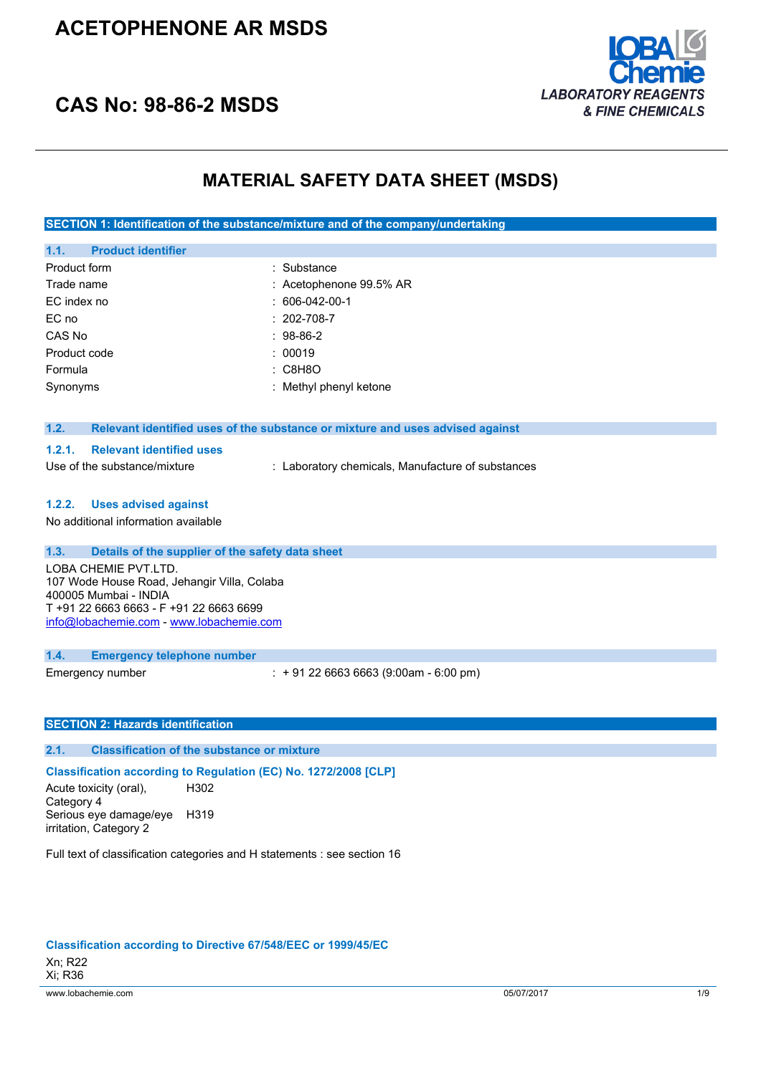## **ACETOPHENONE AR MSDS**





## **MATERIAL SAFETY DATA SHEET (MSDS)**

**SECTION 1: Identification of the substance/mixture and of the company/undertaking**

|              | 1.1. Product identifier |                         |
|--------------|-------------------------|-------------------------|
| Product form |                         | : Substance             |
| Trade name   |                         | : Acetophenone 99.5% AR |
| EC index no  |                         | $: 606-042-00-1$        |
| EC no        |                         | $: 202 - 708 - 7$       |
| CAS No       |                         | $: 98-86-2$             |
| Product code |                         | : 00019                 |
| Formula      |                         | : C8H8O                 |
| Synonyms     |                         | : Methyl phenyl ketone  |

## **1.2. Relevant identified uses of the substance or mixture and uses advised against**

### **1.2.1. Relevant identified uses**

Use of the substance/mixture : Laboratory chemicals, Manufacture of substances

#### **1.2.2. Uses advised against**

No additional information available

## **1.3. Details of the supplier of the safety data sheet**

LOBA CHEMIE PVT.LTD. 107 Wode House Road, Jehangir Villa, Colaba 400005 Mumbai - INDIA T +91 22 6663 6663 - F +91 22 6663 6699 [info@lobachemie.com](mailto:info@lobachemie.com) - <www.lobachemie.com>

#### **1.4. Emergency telephone number**

Emergency number : + 91 22 6663 6663 (9:00am - 6:00 pm)

#### **SECTION 2: Hazards identification**

### **2.1. Classification of the substance or mixture**

#### **Classification according to Regulation (EC) No. 1272/2008 [CLP]**

Acute toxicity (oral), Category 4 H302 Serious eye damage/eye H319 irritation, Category 2

Full text of classification categories and H statements : see section 16

#### **Classification according to Directive 67/548/EEC or 1999/45/EC**

www.lobachemie.com 05/07/2017 1/9 Xn; R22 Xi; R36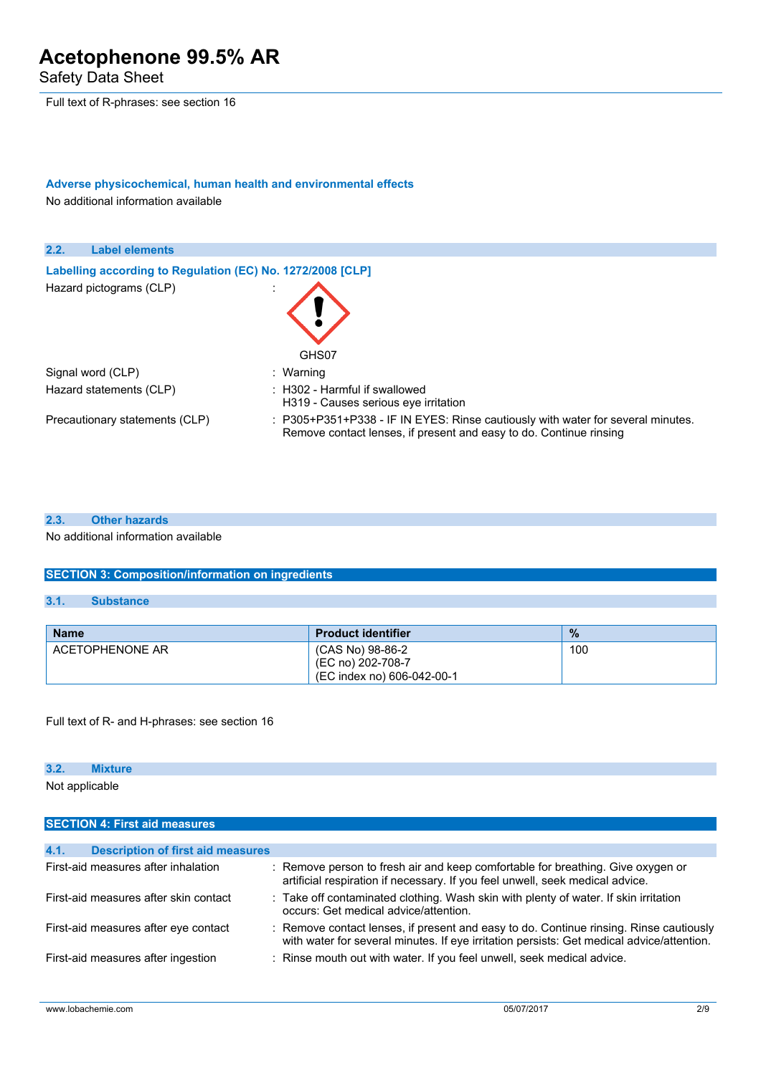Safety Data Sheet

Full text of R-phrases: see section 16

## **Adverse physicochemical, human health and environmental effects**

No additional information available



## **2.3. Other hazards**

No additional information available

## **SECTION 3: Composition/information on ingredients**

## **3.1. Substance**

| <b>Name</b>     | <b>Product identifier</b>                                           | $\frac{9}{6}$ |
|-----------------|---------------------------------------------------------------------|---------------|
| ACETOPHENONE AR | (CAS No) 98-86-2<br>(EC no) 202-708-7<br>(EC index no) 606-042-00-1 | 100           |

Full text of R- and H-phrases: see section 16

### **3.2. Mixture**

Not applicable

| <b>SECTION 4: First aid measures</b>             |                                                                                                                                                                                     |  |
|--------------------------------------------------|-------------------------------------------------------------------------------------------------------------------------------------------------------------------------------------|--|
|                                                  |                                                                                                                                                                                     |  |
| 4.1.<br><b>Description of first aid measures</b> |                                                                                                                                                                                     |  |
| First-aid measures after inhalation              | : Remove person to fresh air and keep comfortable for breathing. Give oxygen or<br>artificial respiration if necessary. If you feel unwell, seek medical advice.                    |  |
| First-aid measures after skin contact            | : Take off contaminated clothing. Wash skin with plenty of water. If skin irritation<br>occurs: Get medical advice/attention.                                                       |  |
| First-aid measures after eye contact             | : Remove contact lenses, if present and easy to do. Continue rinsing. Rinse cautiously<br>with water for several minutes. If eye irritation persists: Get medical advice/attention. |  |
| First-aid measures after ingestion               | : Rinse mouth out with water. If you feel unwell, seek medical advice.                                                                                                              |  |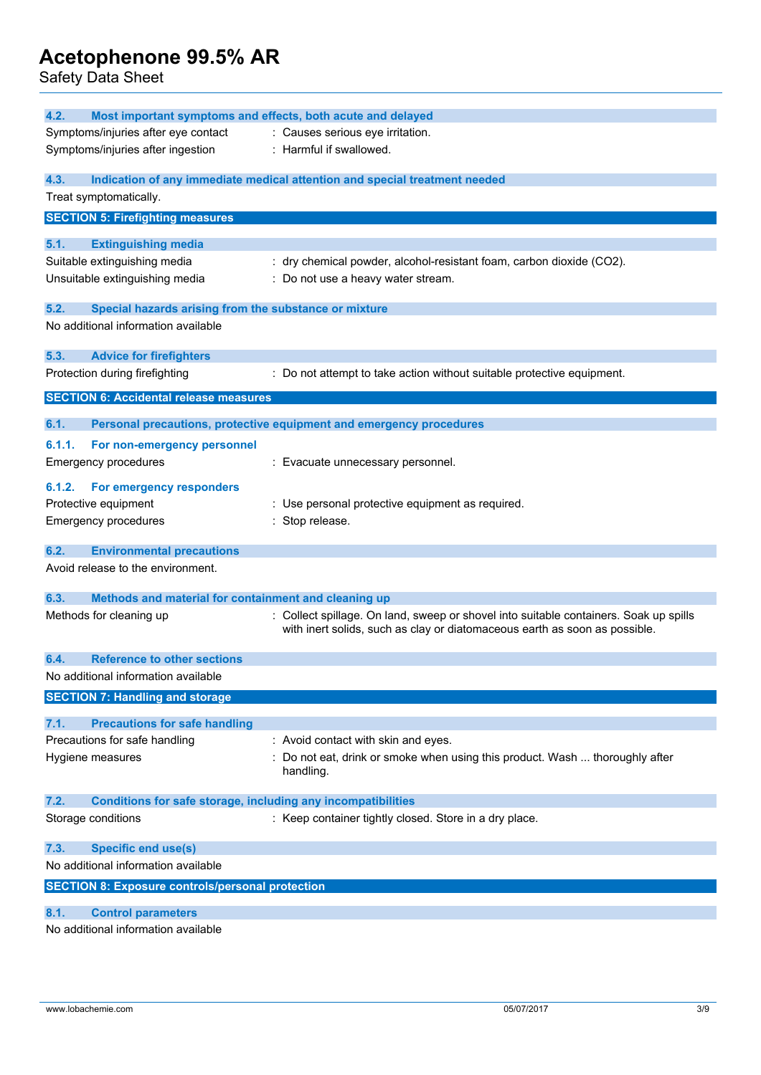Safety Data Sheet

| Most important symptoms and effects, both acute and delayed<br>4.2.         |                                                                                       |  |  |
|-----------------------------------------------------------------------------|---------------------------------------------------------------------------------------|--|--|
| Symptoms/injuries after eye contact                                         | : Causes serious eye irritation.                                                      |  |  |
| Symptoms/injuries after ingestion                                           | : Harmful if swallowed.                                                               |  |  |
| 4.3.                                                                        | Indication of any immediate medical attention and special treatment needed            |  |  |
| Treat symptomatically.                                                      |                                                                                       |  |  |
|                                                                             |                                                                                       |  |  |
| <b>SECTION 5: Firefighting measures</b>                                     |                                                                                       |  |  |
| 5.1.<br><b>Extinguishing media</b>                                          |                                                                                       |  |  |
| Suitable extinguishing media                                                | : dry chemical powder, alcohol-resistant foam, carbon dioxide (CO2).                  |  |  |
| Unsuitable extinguishing media                                              | : Do not use a heavy water stream.                                                    |  |  |
|                                                                             |                                                                                       |  |  |
| 5.2.<br>Special hazards arising from the substance or mixture               |                                                                                       |  |  |
| No additional information available                                         |                                                                                       |  |  |
|                                                                             |                                                                                       |  |  |
| 5.3.<br><b>Advice for firefighters</b>                                      |                                                                                       |  |  |
| Protection during firefighting                                              | : Do not attempt to take action without suitable protective equipment.                |  |  |
| <b>SECTION 6: Accidental release measures</b>                               |                                                                                       |  |  |
| 6.1.                                                                        |                                                                                       |  |  |
|                                                                             | Personal precautions, protective equipment and emergency procedures                   |  |  |
| 6.1.1.<br>For non-emergency personnel                                       |                                                                                       |  |  |
| <b>Emergency procedures</b>                                                 | : Evacuate unnecessary personnel.                                                     |  |  |
| 6.1.2.<br>For emergency responders                                          |                                                                                       |  |  |
| Protective equipment                                                        | : Use personal protective equipment as required.                                      |  |  |
| <b>Emergency procedures</b>                                                 | : Stop release.                                                                       |  |  |
|                                                                             |                                                                                       |  |  |
| 6.2.<br><b>Environmental precautions</b>                                    |                                                                                       |  |  |
| Avoid release to the environment.                                           |                                                                                       |  |  |
|                                                                             |                                                                                       |  |  |
| 6.3.<br>Methods and material for containment and cleaning up                |                                                                                       |  |  |
| Methods for cleaning up                                                     | : Collect spillage. On land, sweep or shovel into suitable containers. Soak up spills |  |  |
|                                                                             | with inert solids, such as clay or diatomaceous earth as soon as possible.            |  |  |
| <b>Reference to other sections</b><br>6.4.                                  |                                                                                       |  |  |
| No additional information available                                         |                                                                                       |  |  |
| <b>SECTION 7: Handling and storage</b>                                      |                                                                                       |  |  |
|                                                                             |                                                                                       |  |  |
| <b>Precautions for safe handling</b><br>7.1.                                |                                                                                       |  |  |
| Precautions for safe handling                                               | : Avoid contact with skin and eyes.                                                   |  |  |
| Hygiene measures                                                            | : Do not eat, drink or smoke when using this product. Wash  thoroughly after          |  |  |
|                                                                             | handling.                                                                             |  |  |
|                                                                             |                                                                                       |  |  |
| <b>Conditions for safe storage, including any incompatibilities</b><br>7.2. |                                                                                       |  |  |
| Storage conditions                                                          | : Keep container tightly closed. Store in a dry place.                                |  |  |
| 7.3.<br><b>Specific end use(s)</b>                                          |                                                                                       |  |  |
| No additional information available                                         |                                                                                       |  |  |
|                                                                             |                                                                                       |  |  |
| <b>SECTION 8: Exposure controls/personal protection</b>                     |                                                                                       |  |  |
| 8.1.<br><b>Control parameters</b>                                           |                                                                                       |  |  |

No additional information available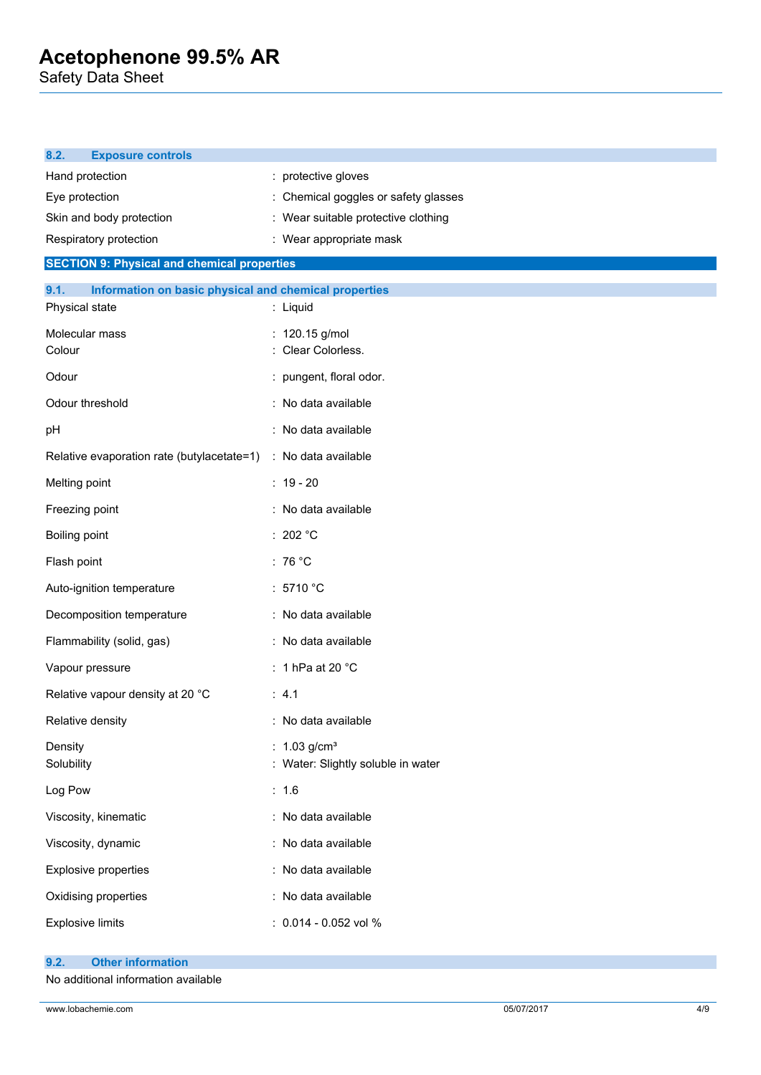Safety Data Sheet

| <b>Exposure controls</b><br>8.2.                               |                                    |
|----------------------------------------------------------------|------------------------------------|
| Hand protection                                                | : protective gloves                |
| Eye protection                                                 | Chemical goggles or safety glasses |
| Skin and body protection                                       | Wear suitable protective clothing  |
| Respiratory protection                                         | : Wear appropriate mask            |
| <b>SECTION 9: Physical and chemical properties</b>             |                                    |
| Information on basic physical and chemical properties<br>9.1.  |                                    |
| Physical state                                                 | : Liquid                           |
| Molecular mass                                                 | : 120.15 g/mol                     |
| Colour                                                         | Clear Colorless.                   |
| Odour                                                          | : pungent, floral odor.            |
| Odour threshold                                                | : No data available                |
| pH                                                             | : No data available                |
| Relative evaporation rate (butylacetate=1) : No data available |                                    |
| Melting point                                                  | $: 19 - 20$                        |
| Freezing point                                                 | : No data available                |
| Boiling point                                                  | : 202 $^{\circ}$ C                 |
| Flash point                                                    | : 76 $^{\circ}$ C                  |
| Auto-ignition temperature                                      | : 5710 °C                          |
| Decomposition temperature                                      | : No data available                |
| Flammability (solid, gas)                                      | : No data available                |
| Vapour pressure                                                | : 1 hPa at 20 $^{\circ}$ C         |
| Relative vapour density at 20 °C                               | : 4.1                              |
| Relative density                                               | : No data available                |
| Density                                                        | : $1.03$ g/cm <sup>3</sup>         |
| Solubility                                                     | : Water: Slightly soluble in water |
| Log Pow                                                        | : 1.6                              |
| Viscosity, kinematic                                           | : No data available                |
| Viscosity, dynamic                                             | : No data available                |
| <b>Explosive properties</b>                                    | : No data available                |
| Oxidising properties                                           | : No data available                |
| <b>Explosive limits</b>                                        | : 0.014 - 0.052 vol %              |
|                                                                |                                    |

- **9.2. Other information**
- No additional information available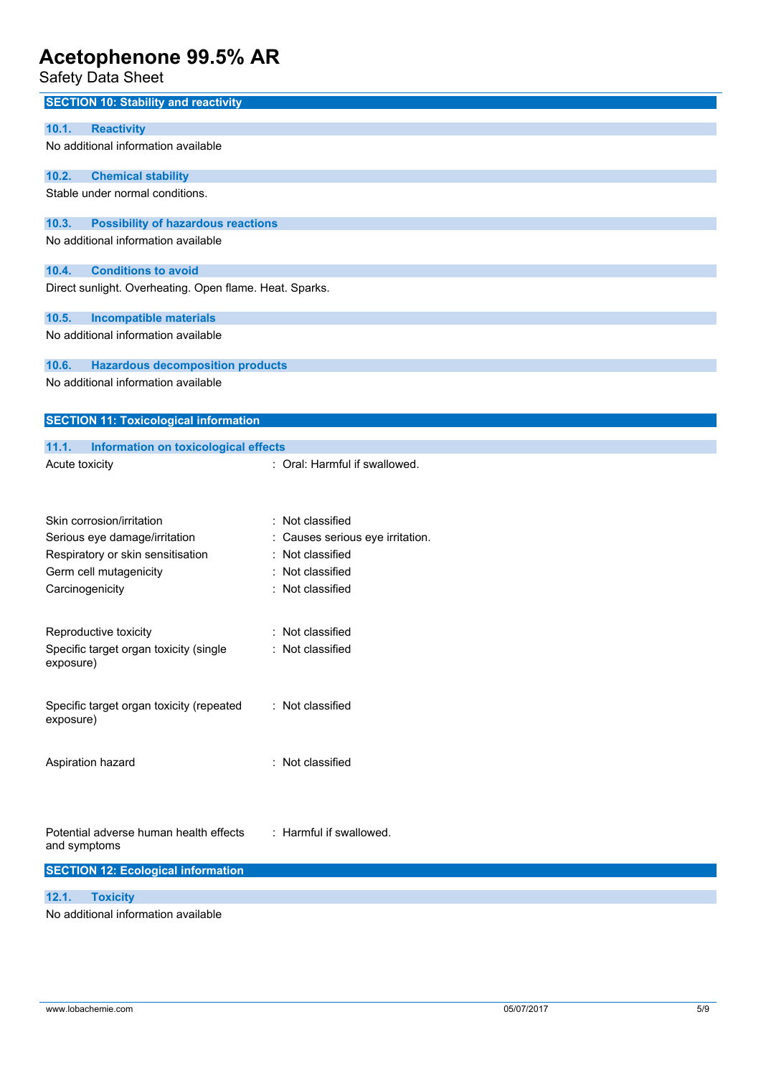Safety Data Sheet

| <b>SECTION 10: Stability and reactivity</b>             |                                |
|---------------------------------------------------------|--------------------------------|
| <b>Reactivity</b><br>10.1.                              |                                |
| No additional information available                     |                                |
|                                                         |                                |
| 10.2.<br><b>Chemical stability</b>                      |                                |
| Stable under normal conditions.                         |                                |
| <b>Possibility of hazardous reactions</b><br>10.3.      |                                |
| No additional information available                     |                                |
|                                                         |                                |
| <b>Conditions to avoid</b><br>10.4.                     |                                |
| Direct sunlight. Overheating. Open flame. Heat. Sparks. |                                |
| 10.5.<br><b>Incompatible materials</b>                  |                                |
| No additional information available                     |                                |
|                                                         |                                |
| 10.6.<br><b>Hazardous decomposition products</b>        |                                |
| No additional information available                     |                                |
|                                                         |                                |
| <b>SECTION 11: Toxicological information</b>            |                                |
| 11.1.<br>Information on toxicological effects           |                                |
| Acute toxicity                                          | : Oral: Harmful if swallowed.  |
|                                                         |                                |
|                                                         |                                |
| Skin corrosion/irritation                               | Not classified<br>÷            |
| Serious eye damage/irritation                           | Causes serious eye irritation. |
| Respiratory or skin sensitisation                       | Not classified                 |
| Germ cell mutagenicity                                  | Not classified                 |
| Carcinogenicity                                         | Not classified<br>÷            |
|                                                         |                                |
| Reproductive toxicity                                   | Not classified                 |
| Specific target organ toxicity (single<br>exposure)     | : Not classified               |
|                                                         |                                |
|                                                         |                                |
| Specific target organ toxicity (repeated<br>exposure)   | : Not classified               |
|                                                         |                                |
|                                                         |                                |
| Aspiration hazard                                       | : Not classified               |
|                                                         |                                |
|                                                         |                                |
| Potential adverse human health effects                  | : Harmful if swallowed.        |
| and symptoms                                            |                                |
| <b>SECTION 12: Ecological information</b>               |                                |
|                                                         |                                |
| 12.1.<br><b>Toxicity</b>                                |                                |

No additional information available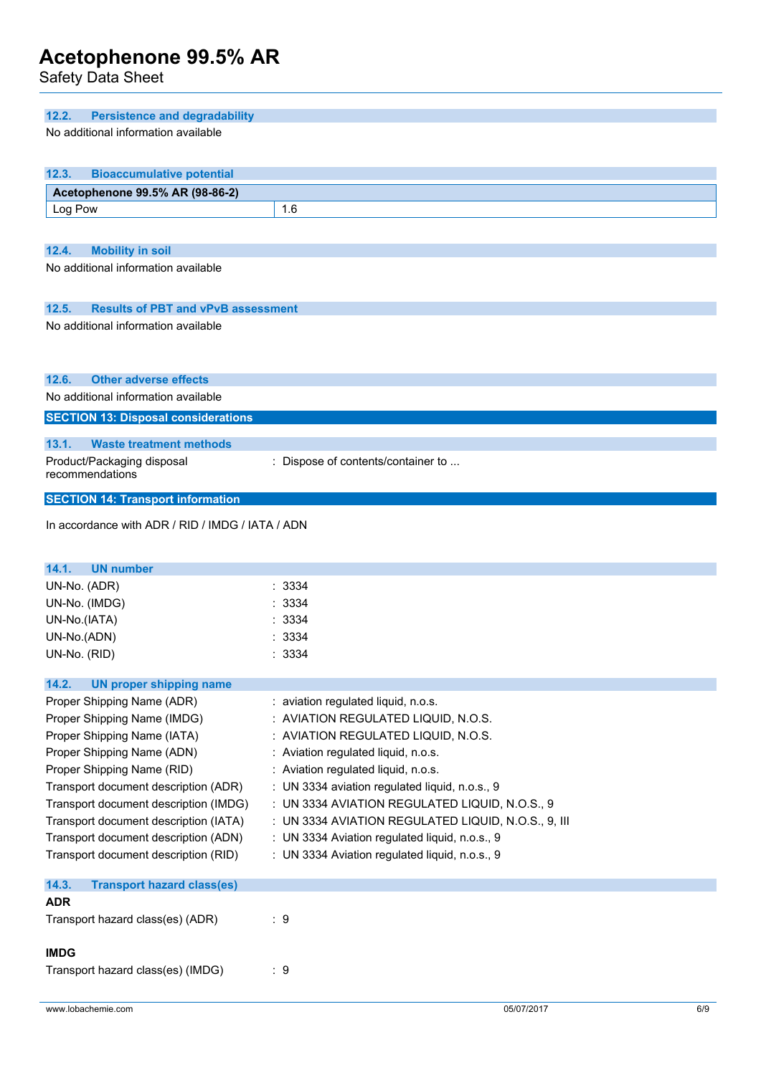Safety Data Sheet

| 12.2.<br><b>Persistence and degradability</b>                  |                                                     |     |
|----------------------------------------------------------------|-----------------------------------------------------|-----|
| No additional information available                            |                                                     |     |
|                                                                |                                                     |     |
| 12.3.<br><b>Bioaccumulative potential</b>                      |                                                     |     |
| Acetophenone 99.5% AR (98-86-2)                                |                                                     |     |
| Log Pow                                                        | 1.6                                                 |     |
|                                                                |                                                     |     |
| 12.4.                                                          |                                                     |     |
| <b>Mobility in soil</b><br>No additional information available |                                                     |     |
|                                                                |                                                     |     |
|                                                                |                                                     |     |
| <b>Results of PBT and vPvB assessment</b><br>12.5.             |                                                     |     |
| No additional information available                            |                                                     |     |
|                                                                |                                                     |     |
|                                                                |                                                     |     |
| <b>Other adverse effects</b><br>12.6.                          |                                                     |     |
| No additional information available                            |                                                     |     |
| <b>SECTION 13: Disposal considerations</b>                     |                                                     |     |
|                                                                |                                                     |     |
| 13.1.<br><b>Waste treatment methods</b>                        |                                                     |     |
| Product/Packaging disposal<br>recommendations                  | : Dispose of contents/container to                  |     |
|                                                                |                                                     |     |
| <b>SECTION 14: Transport information</b>                       |                                                     |     |
| In accordance with ADR / RID / IMDG / IATA / ADN               |                                                     |     |
|                                                                |                                                     |     |
|                                                                |                                                     |     |
| 14.1.<br><b>UN number</b>                                      |                                                     |     |
| UN-No. (ADR)                                                   | : 3334                                              |     |
| UN-No. (IMDG)                                                  | 3334                                                |     |
| UN-No.(IATA)                                                   | 3334                                                |     |
| UN-No.(ADN)                                                    | : 3334                                              |     |
| UN-No. (RID)                                                   | : 3334                                              |     |
|                                                                |                                                     |     |
| 14.2.<br><b>UN proper shipping name</b>                        |                                                     |     |
| Proper Shipping Name (ADR)                                     | : aviation regulated liquid, n.o.s.                 |     |
| Proper Shipping Name (IMDG)                                    | : AVIATION REGULATED LIQUID, N.O.S.                 |     |
| Proper Shipping Name (IATA)                                    | : AVIATION REGULATED LIQUID, N.O.S.                 |     |
| Proper Shipping Name (ADN)                                     | : Aviation regulated liquid, n.o.s.                 |     |
| Proper Shipping Name (RID)                                     | : Aviation regulated liquid, n.o.s.                 |     |
| Transport document description (ADR)                           | : UN 3334 aviation regulated liquid, n.o.s., 9      |     |
| Transport document description (IMDG)                          | : UN 3334 AVIATION REGULATED LIQUID, N.O.S., 9      |     |
| Transport document description (IATA)                          | : UN 3334 AVIATION REGULATED LIQUID, N.O.S., 9, III |     |
| Transport document description (ADN)                           | : UN 3334 Aviation regulated liquid, n.o.s., 9      |     |
| Transport document description (RID)                           | : UN 3334 Aviation regulated liquid, n.o.s., 9      |     |
|                                                                |                                                     |     |
| 14.3.<br><b>Transport hazard class(es)</b>                     |                                                     |     |
| <b>ADR</b>                                                     |                                                     |     |
| Transport hazard class(es) (ADR)                               | :9                                                  |     |
|                                                                |                                                     |     |
| <b>IMDG</b>                                                    |                                                     |     |
| Transport hazard class(es) (IMDG)                              | :9                                                  |     |
|                                                                |                                                     |     |
| www.lobachemie.com                                             | 05/07/2017                                          | 6/9 |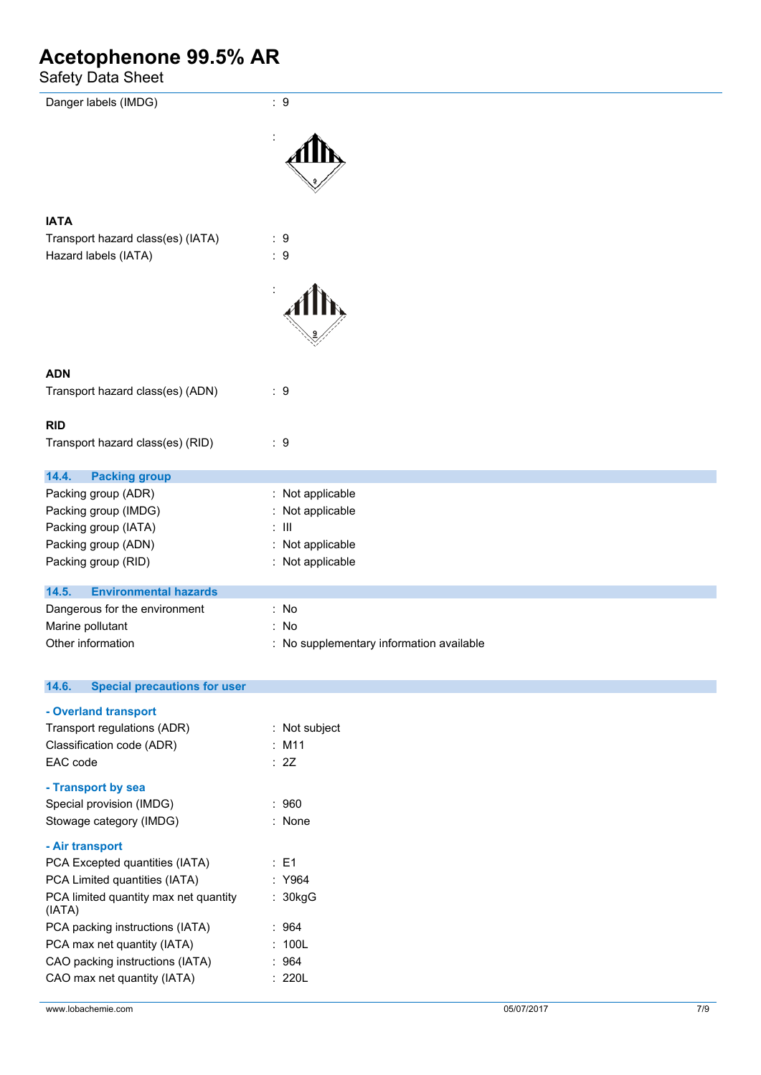Safety Data Sheet

| Danger labels (IMDG)                            | $\therefore$ 9                           |
|-------------------------------------------------|------------------------------------------|
|                                                 |                                          |
|                                                 |                                          |
| <b>IATA</b>                                     |                                          |
| Transport hazard class(es) (IATA)               | $\therefore$ 9                           |
| Hazard labels (IATA)                            | $\therefore$ 9                           |
|                                                 |                                          |
| <b>ADN</b>                                      |                                          |
| Transport hazard class(es) (ADN)                | $\therefore$ 9                           |
| <b>RID</b>                                      |                                          |
| Transport hazard class(es) (RID)                | $\therefore$ 9                           |
| 14.4.<br><b>Packing group</b>                   |                                          |
| Packing group (ADR)                             | : Not applicable                         |
| Packing group (IMDG)                            | Not applicable<br>t.                     |
| Packing group (IATA)                            | $:$ $\mathbb H$                          |
| Packing group (ADN)                             | Not applicable<br>÷                      |
| Packing group (RID)                             | : Not applicable                         |
| 14.5.<br><b>Environmental hazards</b>           |                                          |
| Dangerous for the environment                   | : No                                     |
| Marine pollutant                                | : No                                     |
| Other information                               | : No supplementary information available |
| <b>Special precautions for user</b><br>14.6.    |                                          |
| - Overland transport                            |                                          |
| Transport regulations (ADR)                     | : Not subject                            |
| Classification code (ADR)                       | $:$ M11                                  |
| EAC code                                        | : 2Z                                     |
| - Transport by sea                              |                                          |
| Special provision (IMDG)                        | : 960                                    |
| Stowage category (IMDG)                         | : None                                   |
| - Air transport                                 |                                          |
| PCA Excepted quantities (IATA)                  | $\therefore$ E1                          |
| PCA Limited quantities (IATA)                   | : Y964                                   |
| PCA limited quantity max net quantity<br>(IATA) | : 30kgG                                  |
| PCA packing instructions (IATA)                 | : 964                                    |
| PCA max net quantity (IATA)                     | : 100L                                   |
| CAO packing instructions (IATA)                 | :964                                     |
| CAO max net quantity (IATA)                     | : 220L                                   |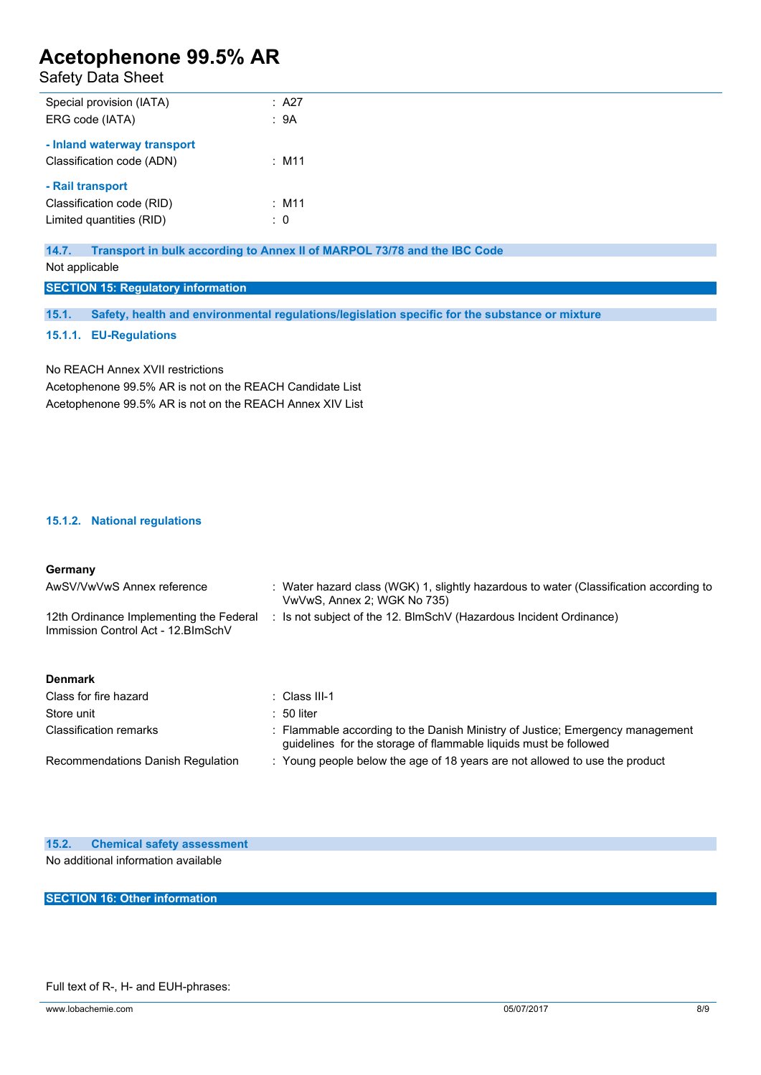## Safety Data Sheet

| Special provision (IATA)    | : A27          |
|-----------------------------|----------------|
| ERG code (IATA)             | : 9A           |
|                             |                |
| - Inland waterway transport |                |
| Classification code (ADN)   | $:$ M11        |
|                             |                |
| - Rail transport            |                |
| Classification code (RID)   | $:$ M11        |
| Limited quantities (RID)    | $\therefore$ 0 |
|                             |                |

**14.7. Transport in bulk according to Annex II of MARPOL 73/78 and the IBC Code**

Not applicable

**SECTION 15: Regulatory information**

**15.1. Safety, health and environmental regulations/legislation specific for the substance or mixture**

### **15.1.1. EU-Regulations**

No REACH Annex XVII restrictions Acetophenone 99.5% AR is not on the REACH Candidate List Acetophenone 99.5% AR is not on the REACH Annex XIV List

## **15.1.2. National regulations**

| Germany                                                                        |                                                                                                                                                   |
|--------------------------------------------------------------------------------|---------------------------------------------------------------------------------------------------------------------------------------------------|
| AwSV/VwVwS Annex reference                                                     | : Water hazard class (WGK) 1, slightly hazardous to water (Classification according to<br>VwVwS, Annex 2; WGK No 735)                             |
| 12th Ordinance Implementing the Federal<br>Immission Control Act - 12. BlmSchV | : Is not subject of the 12. BlmSchV (Hazardous Incident Ordinance)                                                                                |
| <b>Denmark</b>                                                                 |                                                                                                                                                   |
| Class for fire hazard                                                          | ∴ Class III-1                                                                                                                                     |
| Store unit                                                                     | $: 50$ liter                                                                                                                                      |
| <b>Classification remarks</b>                                                  | : Flammable according to the Danish Ministry of Justice; Emergency management<br>guidelines for the storage of flammable liquids must be followed |
| Recommendations Danish Regulation                                              | : Young people below the age of 18 years are not allowed to use the product                                                                       |

### **15.2. Chemical safety assessment**

No additional information available

**SECTION 16: Other information**